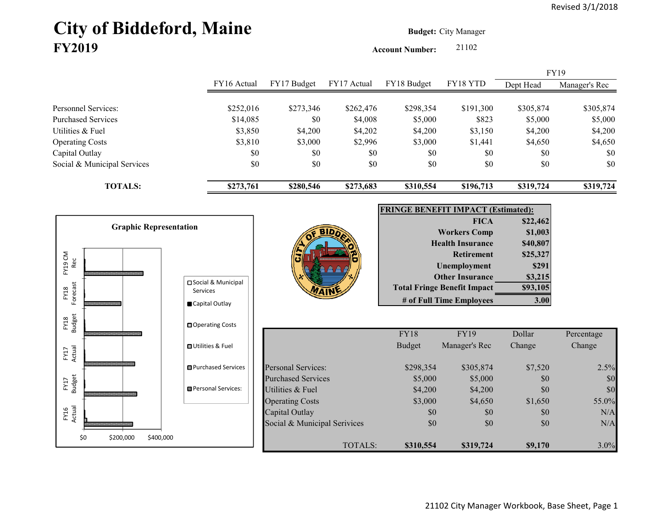# City of Biddeford, Maine **Budget:** City Manager **FY2019**

**Account Number:** 21102

|                             |             |             |             |             |           |           | <b>FY19</b>   |
|-----------------------------|-------------|-------------|-------------|-------------|-----------|-----------|---------------|
|                             | FY16 Actual | FY17 Budget | FY17 Actual | FY18 Budget | FY18 YTD  | Dept Head | Manager's Rec |
|                             |             |             |             |             |           |           |               |
| Personnel Services:         | \$252,016   | \$273,346   | \$262,476   | \$298,354   | \$191,300 | \$305,874 | \$305,874     |
| Purchased Services          | \$14,085    | \$0         | \$4,008     | \$5,000     | \$823     | \$5,000   | \$5,000       |
| Utilities & Fuel            | \$3,850     | \$4,200     | \$4,202     | \$4,200     | \$3,150   | \$4,200   | \$4,200       |
| <b>Operating Costs</b>      | \$3,810     | \$3,000     | \$2,996     | \$3,000     | \$1,441   | \$4,650   | \$4,650       |
| Capital Outlay              | \$0         | \$0         | \$0         | \$0         | \$0       | \$0       | \$0           |
| Social & Municipal Services | \$0         | \$0         | \$0         | \$0         | \$0       | \$0       | \$0           |
| <b>TOTALS:</b>              | \$273,761   | \$280,546   | \$273,683   | \$310,554   | \$196,713 | \$319,724 | \$319,724     |

7A 11



| <b>FRINGE BENEFIT IMPACT (Estimated):</b> |          |  |  |  |  |  |
|-------------------------------------------|----------|--|--|--|--|--|
| <b>FICA</b>                               | \$22,462 |  |  |  |  |  |
| <b>Workers Comp</b>                       | \$1,003  |  |  |  |  |  |
| <b>Health Insurance</b>                   | \$40,807 |  |  |  |  |  |
| <b>Retirement</b>                         | \$25,327 |  |  |  |  |  |
| <b>Unemployment</b>                       | \$291    |  |  |  |  |  |
| <b>Other Insurance</b>                    | \$3,215  |  |  |  |  |  |
| <b>Total Fringe Benefit Impact</b>        | \$93,105 |  |  |  |  |  |
| # of Full Time Employees                  |          |  |  |  |  |  |

|                           |                              | <b>FY18</b>   | <b>FY19</b>   | Dollar  | Percentage |
|---------------------------|------------------------------|---------------|---------------|---------|------------|
|                           |                              | <b>Budget</b> | Manager's Rec | Change  | Change     |
| Personal Services:        |                              | \$298,354     | \$305,874     | \$7,520 | 2.5%       |
| <b>Purchased Services</b> |                              | \$5,000       | \$5,000       | \$0     | \$0        |
| Utilities & Fuel          |                              | \$4,200       | \$4,200       | \$0     | \$0        |
| <b>Operating Costs</b>    |                              | \$3,000       | \$4,650       | \$1,650 | 55.0%      |
| Capital Outlay            |                              | \$0           | \$0           | \$0     | N/A        |
|                           | Social & Municipal Serivices | \$0           | \$0           | \$0     | N/A        |
|                           | TOTALS:                      | \$310,554     | \$319,724     | \$9,170 | $3.0\%$    |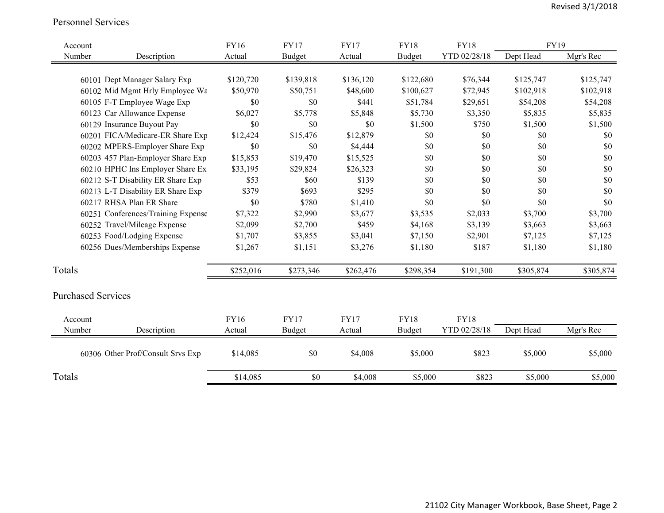#### Personnel Services

| Account                   |                                    | <b>FY16</b> | <b>FY17</b>   | <b>FY17</b> | <b>FY18</b>   | <b>FY18</b>  | FY19      |           |
|---------------------------|------------------------------------|-------------|---------------|-------------|---------------|--------------|-----------|-----------|
| Number                    | Description                        | Actual      | <b>Budget</b> | Actual      | <b>Budget</b> | YTD 02/28/18 | Dept Head | Mgr's Rec |
|                           |                                    |             |               |             |               |              |           |           |
|                           | 60101 Dept Manager Salary Exp      | \$120,720   | \$139,818     | \$136,120   | \$122,680     | \$76,344     | \$125,747 | \$125,747 |
|                           | 60102 Mid Mgmt Hrly Employee Wa    | \$50,970    | \$50,751      | \$48,600    | \$100,627     | \$72,945     | \$102,918 | \$102,918 |
|                           | 60105 F-T Employee Wage Exp        | \$0         | \$0           | \$441       | \$51,784      | \$29,651     | \$54,208  | \$54,208  |
|                           | 60123 Car Allowance Expense        | \$6,027     | \$5,778       | \$5,848     | \$5,730       | \$3,350      | \$5,835   | \$5,835   |
|                           | 60129 Insurance Buyout Pay         | \$0         | \$0           | \$0         | \$1,500       | \$750        | \$1,500   | \$1,500   |
|                           | 60201 FICA/Medicare-ER Share Exp   | \$12,424    | \$15,476      | \$12,879    | \$0           | \$0          | \$0       | \$0       |
|                           | 60202 MPERS-Employer Share Exp     | \$0         | \$0           | \$4,444     | \$0           | \$0          | \$0       | \$0       |
|                           | 60203 457 Plan-Employer Share Exp  | \$15,853    | \$19,470      | \$15,525    | \$0           | \$0          | \$0       | \$0       |
|                           | 60210 HPHC Ins Employer Share Ex   | \$33,195    | \$29,824      | \$26,323    | \$0           | \$0          | \$0       | \$0       |
|                           | 60212 S-T Disability ER Share Exp  | \$53        | \$60          | \$139       | \$0           | \$0          | \$0       | \$0       |
|                           | 60213 L-T Disability ER Share Exp  | \$379       | \$693         | \$295       | \$0           | \$0          | \$0       | \$0       |
|                           | 60217 RHSA Plan ER Share           | \$0         | \$780         | \$1,410     | \$0           | \$0          | \$0       | \$0       |
|                           | 60251 Conferences/Training Expense | \$7,322     | \$2,990       | \$3,677     | \$3,535       | \$2,033      | \$3,700   | \$3,700   |
|                           | 60252 Travel/Mileage Expense       | \$2,099     | \$2,700       | \$459       | \$4,168       | \$3,139      | \$3,663   | \$3,663   |
|                           | 60253 Food/Lodging Expense         | \$1,707     | \$3,855       | \$3,041     | \$7,150       | \$2,901      | \$7,125   | \$7,125   |
|                           | 60256 Dues/Memberships Expense     | \$1,267     | \$1,151       | \$3,276     | \$1,180       | \$187        | \$1,180   | \$1,180   |
| Totals                    |                                    | \$252,016   | \$273,346     | \$262,476   | \$298,354     | \$191,300    | \$305,874 | \$305,874 |
| <b>Purchased Services</b> |                                    |             |               |             |               |              |           |           |
| Account                   |                                    | <b>FY16</b> | <b>FY17</b>   | <b>FY17</b> | <b>FY18</b>   | <b>FY18</b>  |           |           |
| Number                    | Description                        | Actual      | <b>Budget</b> | Actual      | Budget        | YTD 02/28/18 | Dept Head | Mgr's Rec |
|                           | 60306 Other Prof/Consult Srvs Exp  | \$14,085    | \$0           | \$4,008     | \$5,000       | \$823        | \$5,000   | \$5,000   |
| Totals                    |                                    | \$14,085    | \$0           | \$4,008     | \$5,000       | \$823        | \$5,000   | \$5,000   |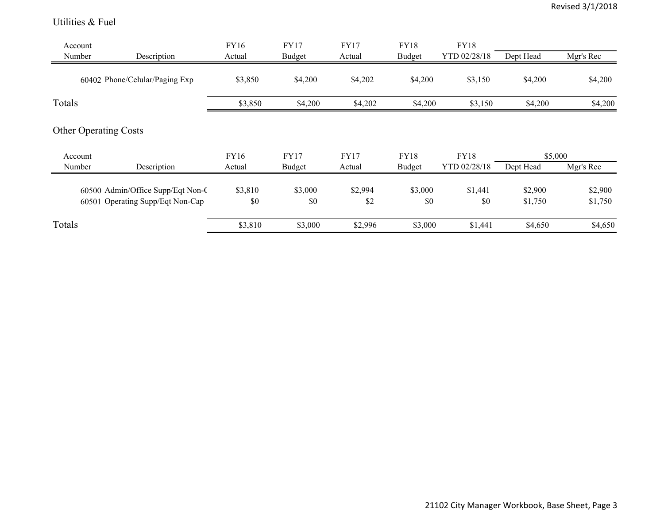#### Utilities & Fuel

| Account<br>Number | Description                       | FY16<br>Actual | FY17<br><b>Budget</b> | <b>FY17</b><br>Actual | <b>FY18</b><br><b>Budget</b> | <b>FY18</b><br>YTD 02/28/18 | Dept Head | Mgr's Rec |
|-------------------|-----------------------------------|----------------|-----------------------|-----------------------|------------------------------|-----------------------------|-----------|-----------|
|                   | 60402 Phone/Celular/Paging Exp    | \$3,850        | \$4,200               | \$4,202               | \$4,200                      | \$3,150                     | \$4,200   | \$4,200   |
| Totals            |                                   | \$3,850        | \$4,200               | \$4,202               | \$4,200                      | \$3,150                     | \$4,200   | \$4,200   |
|                   | <b>Other Operating Costs</b>      |                |                       |                       |                              |                             |           |           |
| Account           |                                   | FY16           | <b>FY17</b>           | <b>FY17</b>           | <b>FY18</b>                  | FY18                        | \$5,000   |           |
| Number            | Description                       | Actual         | <b>Budget</b>         | Actual                | Budget                       | YTD 02/28/18                | Dept Head | Mgr's Rec |
|                   | 60500 Admin/Office Supp/Eqt Non-C | \$3,810        | \$3,000               | \$2,994               | \$3,000                      | \$1,441                     | \$2,900   | \$2,900   |
|                   | 60501 Operating Supp/Eqt Non-Cap  | \$0            | \$0                   | \$2                   | \$0                          | \$0                         | \$1,750   | \$1,750   |
| Totals            |                                   | \$3,810        | \$3,000               | \$2,996               | \$3,000                      | \$1,441                     | \$4,650   | \$4,650   |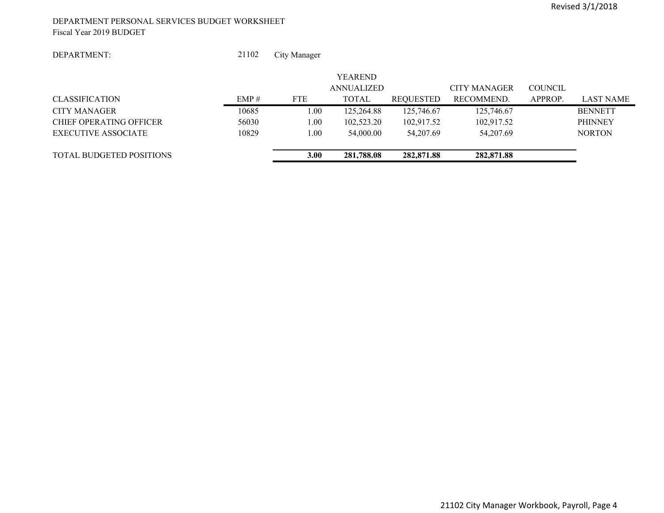#### DEPARTMENT PERSONAL SERVICES BUDGET WORKSHEET Fiscal Year 2019 BUDGET

#### DEPARTMENT:

 21102City Manager

|                                 |       |            | <b>YEAREND</b> |                  |              |                |                  |
|---------------------------------|-------|------------|----------------|------------------|--------------|----------------|------------------|
|                                 |       |            | ANNUALIZED     |                  | CITY MANAGER | <b>COUNCIL</b> |                  |
| <b>CLASSIFICATION</b>           | EMP#  | <b>FTE</b> | <b>TOTAL</b>   | <b>REQUESTED</b> | RECOMMEND.   | APPROP.        | <b>LAST NAME</b> |
| CITY MANAGER                    | 10685 | 1.00       | 125,264.88     | 125,746.67       | 125,746.67   |                | <b>BENNETT</b>   |
| CHIEF OPERATING OFFICER         | 56030 | 1.00       | 102,523.20     | 102,917.52       | 102.917.52   |                | <b>PHINNEY</b>   |
| EXECUTIVE ASSOCIATE             | 10829 | 1.00       | 54,000.00      | 54,207.69        | 54,207.69    |                | <b>NORTON</b>    |
| <b>TOTAL BUDGETED POSITIONS</b> |       | 3.00       | 281,788.08     | 282,871.88       | 282,871.88   |                |                  |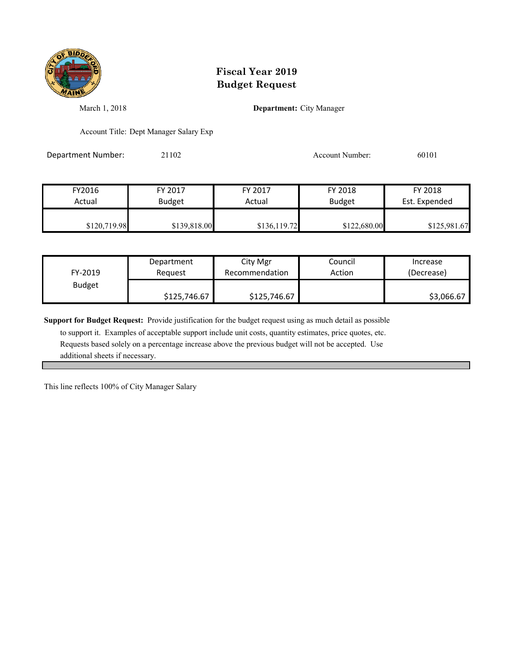

March 1, 2018 **Department:** City Manager

Account Title: Dept Manager Salary Exp

Department Number: 21102 2010 Account Number: 60101

| FY2016       | FY 2017       | FY 2017      | FY 2018       | FY 2018       |
|--------------|---------------|--------------|---------------|---------------|
| Actual       | <b>Budget</b> | Actual       | <b>Budget</b> | Est. Expended |
| \$120,719.98 | \$139,818.00  | \$136,119.72 | \$122,680.00  | \$125,981.67  |

| FY-2019       | Department   | City Mgr       | Council | Increase   |
|---------------|--------------|----------------|---------|------------|
|               | Reauest      | Recommendation | Action  | (Decrease) |
| <b>Budget</b> | \$125,746.67 | \$125,746.67   |         | \$3,066.67 |

**Support for Budget Request:** Provide justification for the budget request using as much detail as possible

 to support it. Examples of acceptable support include unit costs, quantity estimates, price quotes, etc. Requests based solely on a percentage increase above the previous budget will not be accepted. Use additional sheets if necessary.

This line reflects 100% of City Manager Salary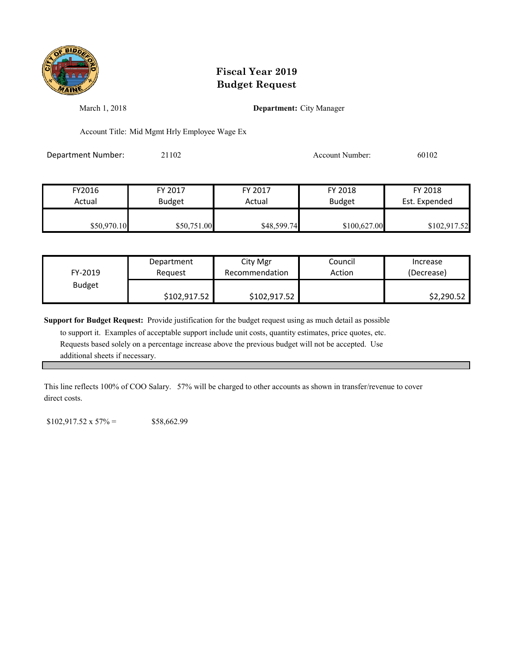

March 1, 2018 **Department:** City Manager

Account Title: Mid Mgmt Hrly Employee Wage Ex

Department Number: 21102 2010 2 Account Number: 60102

| FY2016      | FY 2017       | FY 2017     | FY 2018       | FY 2018       |
|-------------|---------------|-------------|---------------|---------------|
| Actual      | <b>Budget</b> | Actual      | <b>Budget</b> | Est. Expended |
|             |               |             |               |               |
| \$50,970.10 | \$50,751.00   | \$48,599.74 | \$100,627.00  | \$102,917.52  |

| FY-2019       | Department   | City Mgr       | Council | Increase   |
|---------------|--------------|----------------|---------|------------|
|               | Reauest      | Recommendation | Action  | (Decrease) |
| <b>Budget</b> | \$102,917.52 | \$102,917.52   |         | \$2,290.52 |

**Support for Budget Request:** Provide justification for the budget request using as much detail as possible

 to support it. Examples of acceptable support include unit costs, quantity estimates, price quotes, etc. Requests based solely on a percentage increase above the previous budget will not be accepted. Use additional sheets if necessary.

This line reflects 100% of COO Salary. 57% will be charged to other accounts as shown in transfer/revenue to cover direct costs.

 $$102,917.52 \times 57\% =$  \$58,662.99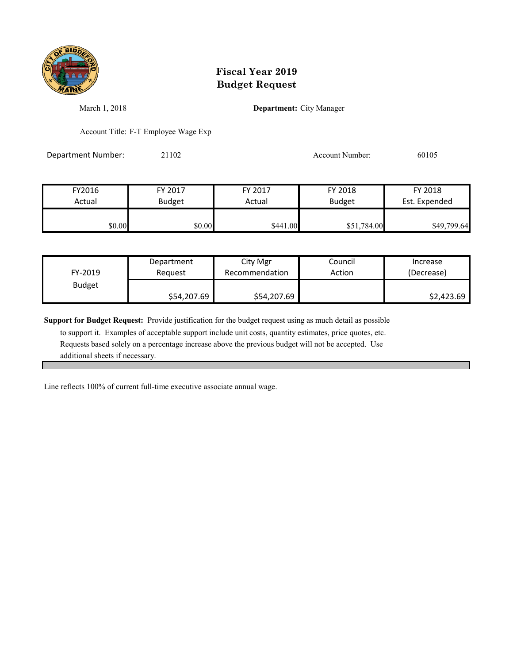

March 1, 2018 **Department:** City Manager

Account Title: F-T Employee Wage Exp

Department Number: 21102 Account Number: 60105

FY2016 FY 2017 FY 2017 FY 2018 FY 2018 Actual Budget **Actual Budget** Actual Budget Est. Expended \$0.00 \$0.00 \$0.00 \$441.00 \$441.00 \$51,784.00 \$49,799.64

| FY-2019       | Department  | City Mgr       | Council | Increase   |
|---------------|-------------|----------------|---------|------------|
|               | Reguest     | Recommendation | Action  | (Decrease) |
| <b>Budget</b> | \$54,207.69 | \$54,207.69    |         | \$2,423.69 |

**Support for Budget Request:** Provide justification for the budget request using as much detail as possible

 to support it. Examples of acceptable support include unit costs, quantity estimates, price quotes, etc. Requests based solely on a percentage increase above the previous budget will not be accepted. Use additional sheets if necessary.

Line reflects 100% of current full-time executive associate annual wage.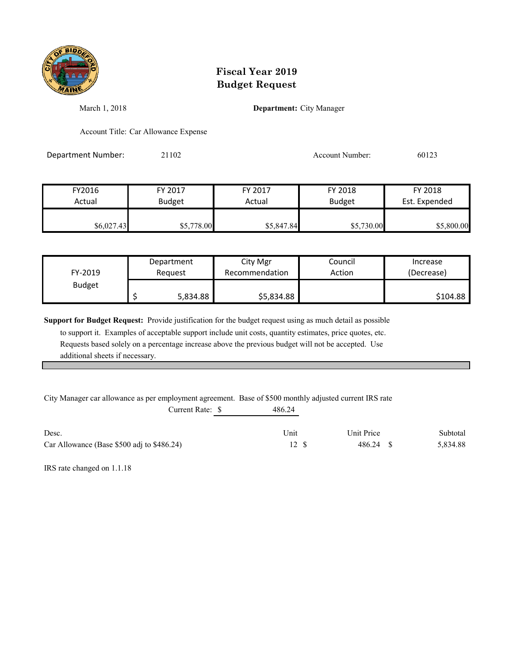

March 1, 2018 **Department:** City Manager

Account Title: Car Allowance Expense

Department Number: 21102 Account Number: 60123

| FY2016     | FY 2017       | FY 2017    | FY 2018       | FY 2018       |
|------------|---------------|------------|---------------|---------------|
| Actual     | <b>Budget</b> | Actual     | <b>Budget</b> | Est. Expended |
| \$6,027.43 | \$5,778.00    | \$5,847.84 | \$5,730.00    | \$5,800.00    |

| FY-2019       | Department | City Mgr       | Council | Increase   |
|---------------|------------|----------------|---------|------------|
|               | Reauest    | Recommendation | Action  | (Decrease) |
| <b>Budget</b> | 5,834.88   | \$5,834.88     |         | \$104.88   |

**Support for Budget Request:** Provide justification for the budget request using as much detail as possible

 to support it. Examples of acceptable support include unit costs, quantity estimates, price quotes, etc. Requests based solely on a percentage increase above the previous budget will not be accepted. Use additional sheets if necessary.

City Manager car allowance as per employment agreement. Base of \$500 monthly adjusted current IRS rate

| Current Rate: \$                           | 486.24 |            |          |
|--------------------------------------------|--------|------------|----------|
| Desc.                                      | Unit   | Unit Price | Subtotal |
| Car Allowance (Base \$500 adj to \$486.24) | 12 \$  | 486.24 \$  | 5,834.88 |

IRS rate changed on 1.1.18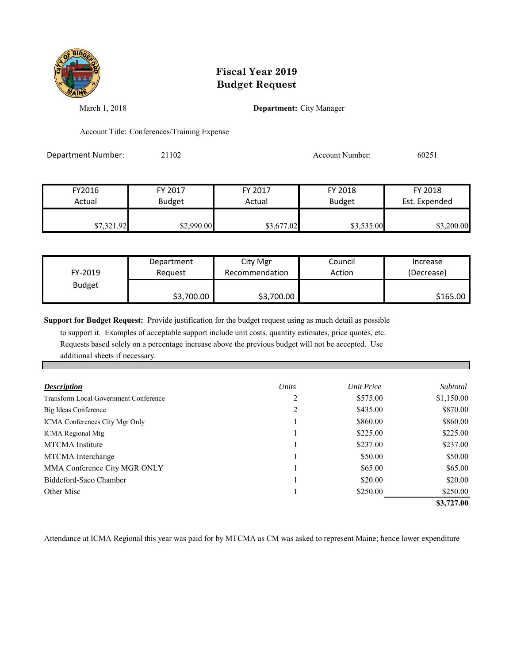

March 1, 2018 **Department:** City Manager

Account Title: Conferences/Training Expense

Department Number: 21102 Account Number: 60251

| FY2016     | FY 2017       | FY 2017    | FY 2018       | FY 2018       |
|------------|---------------|------------|---------------|---------------|
| Actual     | <b>Budget</b> | Actual     | <b>Budget</b> | Est. Expended |
|            |               |            |               |               |
| \$7,321.92 | \$2,990.00    | \$3,677.02 | \$3,535.00    | \$3,200.00    |

| FY-2019       | Department | City Mgr       | Council | Increase   |
|---------------|------------|----------------|---------|------------|
|               | Request    | Recommendation | Action  | (Decrease) |
| <b>Budget</b> | \$3,700.00 | \$3,700.00     |         | \$165.00   |

**Support for Budget Request:** Provide justification for the budget request using as much detail as possible

 to support it. Examples of acceptable support include unit costs, quantity estimates, price quotes, etc. Requests based solely on a percentage increase above the previous budget will not be accepted. Use additional sheets if necessary.

| <b>Description</b>                           | Units | <b>Unit Price</b> | Subtotal   |
|----------------------------------------------|-------|-------------------|------------|
| <b>Transform Local Government Conference</b> |       | \$575.00          | \$1,150.00 |
| Big Ideas Conference                         | 2     | \$435.00          | \$870.00   |
| <b>ICMA Conferences City Mgr Only</b>        |       | \$860.00          | \$860.00   |
| <b>ICMA</b> Regional Mtg                     |       | \$225.00          | \$225.00   |
| <b>MTCMA</b> Institute                       |       | \$237.00          | \$237.00   |
| MTCMA Interchange                            |       | \$50.00           | \$50.00    |
| MMA Conference City MGR ONLY                 |       | \$65.00           | \$65.00    |
| Biddeford-Saco Chamber                       |       | \$20.00           | \$20.00    |
| Other Misc                                   |       | \$250.00          | \$250.00   |
|                                              |       |                   | \$3,727.00 |

Attendance at ICMA Regional this year was paid for by MTCMA as CM was asked to represent Maine; hence lower expenditure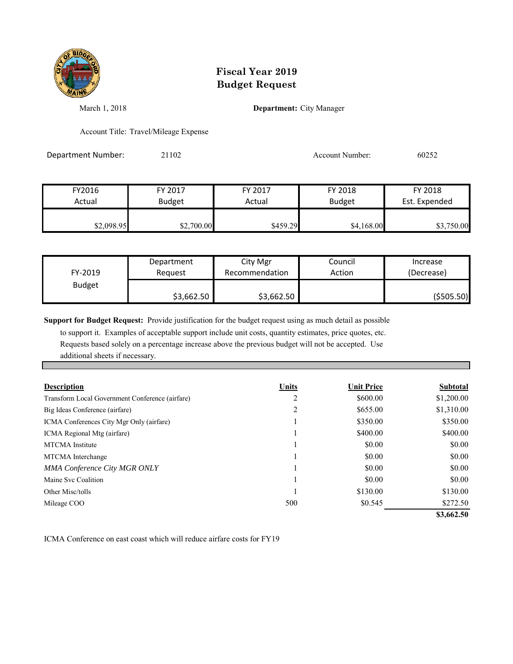

March 1, 2018 **Department:** City Manager

Account Title: Travel/Mileage Expense

Department Number: 21102 2003 2004 Account Number: 60252

| FY2016     | FY 2017       | FY 2017  | FY 2018       | FY 2018       |
|------------|---------------|----------|---------------|---------------|
| Actual     | <b>Budget</b> | Actual   | <b>Budget</b> | Est. Expended |
| \$2,098.95 | \$2,700.00    | \$459.29 | \$4,168.00    | \$3,750.00    |

| FY-2019       | Department | City Mgr       | Council | Increase    |
|---------------|------------|----------------|---------|-------------|
|               | Reauest    | Recommendation | Action  | (Decrease)  |
| <b>Budget</b> | \$3,662.50 | \$3,662.50     |         | ( \$505.50) |

**Support for Budget Request:** Provide justification for the budget request using as much detail as possible

 to support it. Examples of acceptable support include unit costs, quantity estimates, price quotes, etc. Requests based solely on a percentage increase above the previous budget will not be accepted. Use additional sheets if necessary.

| <b>Description</b>                              | Units | <b>Unit Price</b> | <b>Subtotal</b> |
|-------------------------------------------------|-------|-------------------|-----------------|
| Transform Local Government Conference (airfare) | 2     | \$600.00          | \$1,200.00      |
| Big Ideas Conference (airfare)                  | 2     | \$655.00          | \$1,310.00      |
| ICMA Conferences City Mgr Only (airfare)        |       | \$350.00          | \$350.00        |
| ICMA Regional Mtg (airfare)                     |       | \$400.00          | \$400.00        |
| <b>MTCMA</b> Institute                          |       | \$0.00            | \$0.00          |
| MTCMA Interchange                               |       | \$0.00            | \$0.00          |
| <b>MMA Conference City MGR ONLY</b>             |       | \$0.00            | \$0.00          |
| Maine Svc Coalition                             |       | \$0.00            | \$0.00          |
| Other Misc/tolls                                |       | \$130.00          | \$130.00        |
| Mileage COO                                     | 500   | \$0.545           | \$272.50        |
|                                                 |       |                   | \$3,662.50      |

ICMA Conference on east coast which will reduce airfare costs for FY19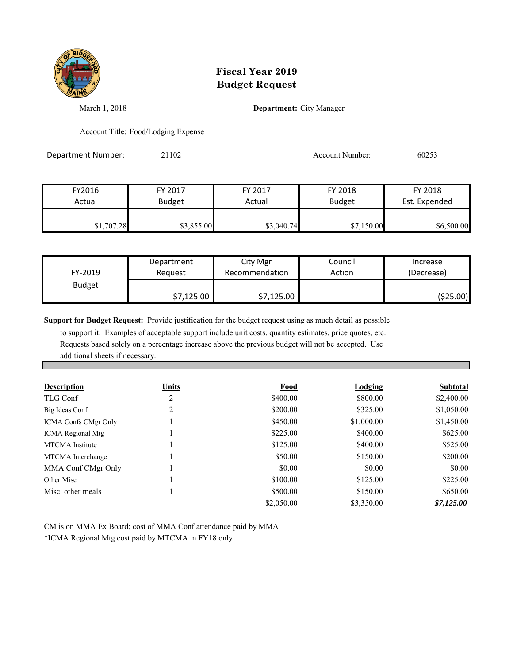

March 1, 2018 **Department:** City Manager

Account Title: Food/Lodging Expense

Department Number: 21102 Account Number: 60253

| FY2016     | FY 2017       | FY 2017    | FY 2018       | FY 2018       |
|------------|---------------|------------|---------------|---------------|
| Actual     | <b>Budget</b> | Actual     | <b>Budget</b> | Est. Expended |
| \$1,707.28 | \$3,855.00    | \$3,040.74 | \$7,150.00    | \$6,500.00    |

| FY-2019       | Department | City Mgr       | Council | Increase   |
|---------------|------------|----------------|---------|------------|
|               | Reauest    | Recommendation | Action  | (Decrease) |
| <b>Budget</b> | \$7,125.00 | \$7,125.00     |         | (\$25.00)  |

**Support for Budget Request:** Provide justification for the budget request using as much detail as possible

 to support it. Examples of acceptable support include unit costs, quantity estimates, price quotes, etc. Requests based solely on a percentage increase above the previous budget will not be accepted. Use additional sheets if necessary.

| <b>Description</b>          | Units | Food       | <b>Lodging</b> | Subtotal   |
|-----------------------------|-------|------------|----------------|------------|
| TLG Conf                    | 2     | \$400.00   | \$800.00       | \$2,400.00 |
| Big Ideas Conf              | 2     | \$200.00   | \$325.00       | \$1,050.00 |
| <b>ICMA Confs CMgr Only</b> |       | \$450.00   | \$1,000.00     | \$1,450.00 |
| <b>ICMA</b> Regional Mtg    |       | \$225.00   | \$400.00       | \$625.00   |
| <b>MTCMA</b> Institute      |       | \$125.00   | \$400.00       | \$525.00   |
| MTCMA Interchange           |       | \$50.00    | \$150.00       | \$200.00   |
| MMA Conf CMgr Only          |       | \$0.00     | \$0.00         | \$0.00     |
| Other Misc                  |       | \$100.00   | \$125.00       | \$225.00   |
| Misc. other meals           |       | \$500.00   | \$150.00       | \$650.00   |
|                             |       | \$2,050.00 | \$3,350.00     | \$7,125.00 |

CM is on MMA Ex Board; cost of MMA Conf attendance paid by MMA \*ICMA Regional Mtg cost paid by MTCMA in FY18 only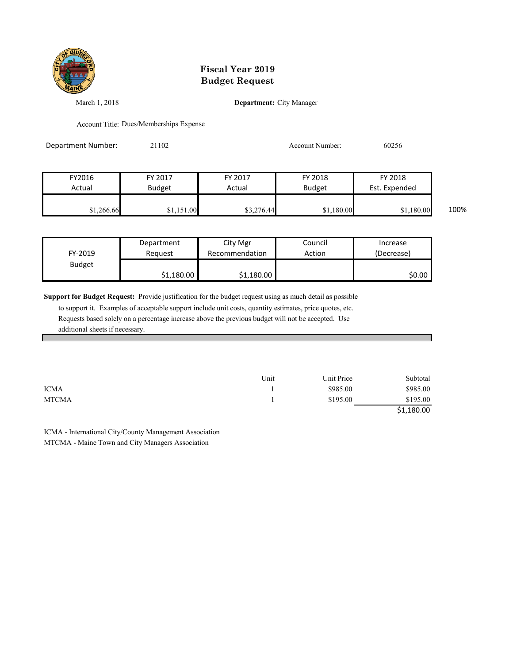

March 1, 2018 **Department:** City Manager

Account Title: Dues/Memberships Expense

| Department Number: | 21102         |            | <b>Account Number:</b> | 60256         |      |
|--------------------|---------------|------------|------------------------|---------------|------|
|                    |               |            |                        |               |      |
| FY2016             | FY 2017       | FY 2017    | FY 2018                | FY 2018       |      |
| Actual             | <b>Budget</b> | Actual     | <b>Budget</b>          | Est. Expended |      |
| \$1,266.66         | \$1,151.00    | \$3,276.44 | \$1,180.00             | \$1,180.00    | 100% |

| FY-2019       | Department | City Mgr       | Council | Increase   |
|---------------|------------|----------------|---------|------------|
|               | Reauest    | Recommendation | Action  | (Decrease) |
| <b>Budget</b> | \$1,180.00 | \$1,180.00     |         | \$0.00     |

**Support for Budget Request:** Provide justification for the budget request using as much detail as possible

 to support it. Examples of acceptable support include unit costs, quantity estimates, price quotes, etc. Requests based solely on a percentage increase above the previous budget will not be accepted. Use additional sheets if necessary.

|              | Unit | Unit Price | Subtotal   |
|--------------|------|------------|------------|
| <b>ICMA</b>  |      | \$985.00   | \$985.00   |
| <b>MTCMA</b> |      | \$195.00   | \$195.00   |
|              |      |            | \$1,180.00 |

ICMA - International City/County Management Association MTCMA - Maine Town and City Managers Association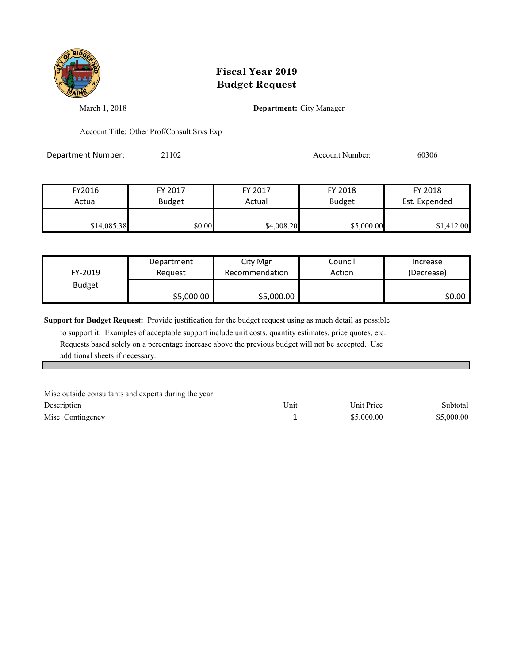

March 1, 2018 **Department:** City Manager

Account Title: Other Prof/Consult Srvs Exp

Department Number: 21102 2006 2006 Account Number: 60306

| FY2016      | FY 2017       | FY 2017    | FY 2018       | FY 2018       |
|-------------|---------------|------------|---------------|---------------|
| Actual      | <b>Budget</b> | Actual     | <b>Budget</b> | Est. Expended |
|             |               |            |               |               |
| \$14,085.38 | \$0.00        | \$4,008.20 | \$5,000.00    | \$1,412.00    |

| FY-2019       | Department | City Mgr       | Council | Increase   |
|---------------|------------|----------------|---------|------------|
|               | Reauest    | Recommendation | Action  | (Decrease) |
| <b>Budget</b> | \$5,000.00 | \$5,000.00     |         | \$0.00     |

**Support for Budget Request:** Provide justification for the budget request using as much detail as possible

 to support it. Examples of acceptable support include unit costs, quantity estimates, price quotes, etc. Requests based solely on a percentage increase above the previous budget will not be accepted. Use additional sheets if necessary.

| Misc outside consultants and experts during the year |      |            |            |
|------------------------------------------------------|------|------------|------------|
| Description                                          | Unit | Unit Price | Subtotal   |
| Misc. Contingency                                    |      | \$5,000.00 | \$5,000.00 |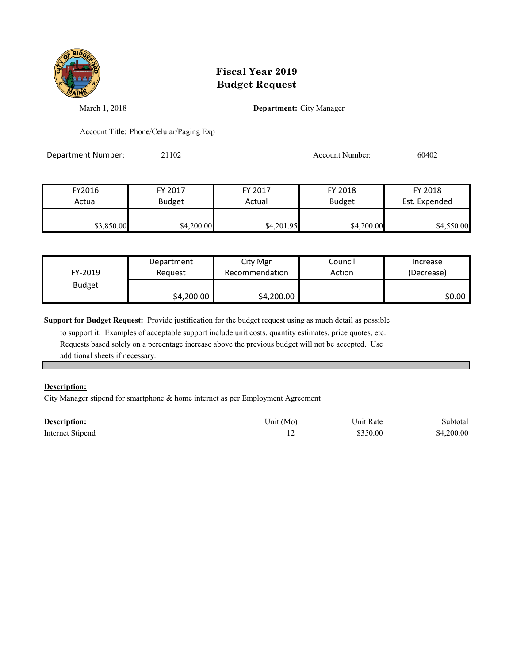

March 1, 2018 **Department:** City Manager

Account Title: Phone/Celular/Paging Exp

Department Number: 21102 2010 2010 Account Number: 60402

| FY2016     | FY 2017       | FY 2017    | FY 2018       | FY 2018       |
|------------|---------------|------------|---------------|---------------|
| Actual     | <b>Budget</b> | Actual     | <b>Budget</b> | Est. Expended |
| \$3,850.00 | \$4,200.00    | \$4,201.95 | \$4,200.00    | \$4,550.00    |

| FY-2019       | Department | City Mgr       | Council | Increase   |
|---------------|------------|----------------|---------|------------|
|               | Reauest    | Recommendation | Action  | (Decrease) |
| <b>Budget</b> | \$4,200.00 | \$4,200.00     |         | \$0.00     |

**Support for Budget Request:** Provide justification for the budget request using as much detail as possible

 to support it. Examples of acceptable support include unit costs, quantity estimates, price quotes, etc. Requests based solely on a percentage increase above the previous budget will not be accepted. Use additional sheets if necessary.

#### **Description:**

City Manager stipend for smartphone & home internet as per Employment Agreement

| <b>Description:</b> | Unit (Mo) | Unit Rate | Subtotal   |
|---------------------|-----------|-----------|------------|
| Internet Stipend    |           | \$350.00  | \$4,200.00 |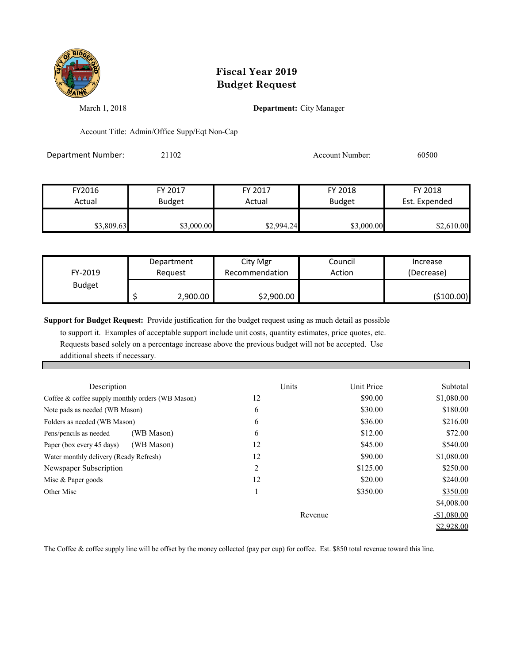

March 1, 2018 **Department:** City Manager

Account Title: Admin/Office Supp/Eqt Non-Cap

Department Number: 21102 2010 2010 Account Number: 60500

| FY2016     | FY 2017       | FY 2017    | FY 2018       | FY 2018       |
|------------|---------------|------------|---------------|---------------|
| Actual     | <b>Budget</b> | Actual     | <b>Budget</b> | Est. Expended |
| \$3,809.63 | \$3,000.00    | \$2,994.24 | \$3,000.00    | \$2,610.00    |

| FY-2019       | Department | City Mgr       | Council | Increase   |
|---------------|------------|----------------|---------|------------|
|               | Reauest    | Recommendation | Action  | (Decrease) |
| <b>Budget</b> | 2,900.00   | \$2,900.00     |         | (\$100.00) |

**Support for Budget Request:** Provide justification for the budget request using as much detail as possible

 to support it. Examples of acceptable support include unit costs, quantity estimates, price quotes, etc. Requests based solely on a percentage increase above the previous budget will not be accepted. Use additional sheets if necessary.

| Description                                         | Units   | Unit Price | Subtotal     |
|-----------------------------------------------------|---------|------------|--------------|
| Coffee $\&$ coffee supply monthly orders (WB Mason) | 12      | \$90.00    | \$1,080.00   |
| Note pads as needed (WB Mason)                      | 6       | \$30.00    | \$180.00     |
| Folders as needed (WB Mason)                        | 6       | \$36.00    | \$216.00     |
| (WB Mason)<br>Pens/pencils as needed                | 6       | \$12.00    | \$72.00      |
| (WB Mason)<br>Paper (box every 45 days)             | 12      | \$45.00    | \$540.00     |
| Water monthly delivery (Ready Refresh)              | 12      | \$90.00    | \$1,080.00   |
| Newspaper Subscription                              | 2       | \$125.00   | \$250.00     |
| Misc & Paper goods                                  | 12      | \$20.00    | \$240.00     |
| Other Misc                                          |         | \$350.00   | \$350.00     |
|                                                     |         |            | \$4,008.00   |
|                                                     | Revenue |            | $-$1,080.00$ |
|                                                     |         |            | \$2,928.00   |

The Coffee & coffee supply line will be offset by the money collected (pay per cup) for coffee. Est. \$850 total revenue toward this line.